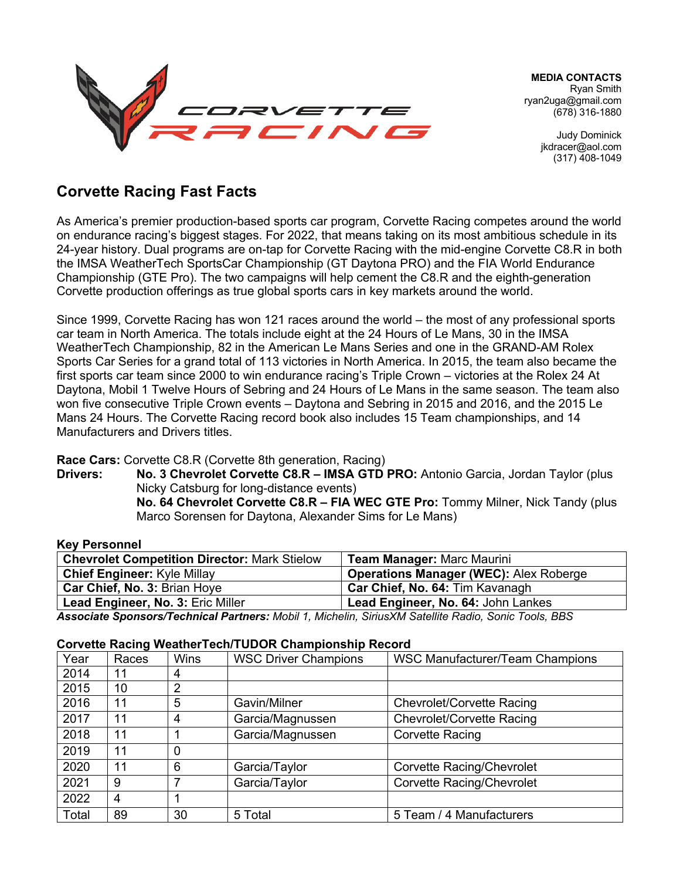

**MEDIA CONTACTS** Ryan Smith ryan2uga@gmail.com (678) 316-1880

> Judy Dominick jkdracer@aol.com (317) 408-1049

# **Corvette Racing Fast Facts**

As America's premier production-based sports car program, Corvette Racing competes around the world on endurance racing's biggest stages. For 2022, that means taking on its most ambitious schedule in its 24-year history. Dual programs are on-tap for Corvette Racing with the mid-engine Corvette C8.R in both the IMSA WeatherTech SportsCar Championship (GT Daytona PRO) and the FIA World Endurance Championship (GTE Pro). The two campaigns will help cement the C8.R and the eighth-generation Corvette production offerings as true global sports cars in key markets around the world.

Since 1999, Corvette Racing has won 121 races around the world – the most of any professional sports car team in North America. The totals include eight at the 24 Hours of Le Mans, 30 in the IMSA WeatherTech Championship, 82 in the American Le Mans Series and one in the GRAND-AM Rolex Sports Car Series for a grand total of 113 victories in North America. In 2015, the team also became the first sports car team since 2000 to win endurance racing's Triple Crown – victories at the Rolex 24 At Daytona, Mobil 1 Twelve Hours of Sebring and 24 Hours of Le Mans in the same season. The team also won five consecutive Triple Crown events – Daytona and Sebring in 2015 and 2016, and the 2015 Le Mans 24 Hours. The Corvette Racing record book also includes 15 Team championships, and 14 Manufacturers and Drivers titles.

#### **Race Cars:** Corvette C8.R (Corvette 8th generation, Racing)

**Drivers: No. 3 Chevrolet Corvette C8.R – IMSA GTD PRO:** Antonio Garcia, Jordan Taylor (plus Nicky Catsburg for long-distance events) **No. 64 Chevrolet Corvette C8.R – FIA WEC GTE Pro:** Tommy Milner, Nick Tandy (plus Marco Sorensen for Daytona, Alexander Sims for Le Mans)

#### **Key Personnel**

| <b>Chevrolet Competition Director: Mark Stielow</b> | <b>Team Manager: Marc Maurini</b>             |
|-----------------------------------------------------|-----------------------------------------------|
| <b>Chief Engineer: Kyle Millay</b>                  | <b>Operations Manager (WEC): Alex Roberge</b> |
| Car Chief, No. 3: Brian Hoye                        | Car Chief, No. 64: Tim Kavanagh               |
| Lead Engineer, No. 3: Eric Miller                   | Lead Engineer, No. 64: John Lankes            |

*Associate Sponsors/Technical Partners: Mobil 1, Michelin, SiriusXM Satellite Radio, Sonic Tools, BBS*

#### **Corvette Racing WeatherTech/TUDOR Championship Record**

| Year  | Races | <b>Wins</b>    | <b>WSC Driver Champions</b> | <b>WSC Manufacturer/Team Champions</b> |
|-------|-------|----------------|-----------------------------|----------------------------------------|
| 2014  | 11    | 4              |                             |                                        |
| 2015  | 10    | $\overline{2}$ |                             |                                        |
| 2016  | 11    | 5              | Gavin/Milner                | Chevrolet/Corvette Racing              |
| 2017  | 11    | 4              | Garcia/Magnussen            | Chevrolet/Corvette Racing              |
| 2018  | 11    |                | Garcia/Magnussen            | Corvette Racing                        |
| 2019  | 11    | 0              |                             |                                        |
| 2020  | 11    | 6              | Garcia/Taylor               | <b>Corvette Racing/Chevrolet</b>       |
| 2021  | 9     |                | Garcia/Taylor               | <b>Corvette Racing/Chevrolet</b>       |
| 2022  | 4     |                |                             |                                        |
| Total | 89    | 30             | 5 Total                     | 5 Team / 4 Manufacturers               |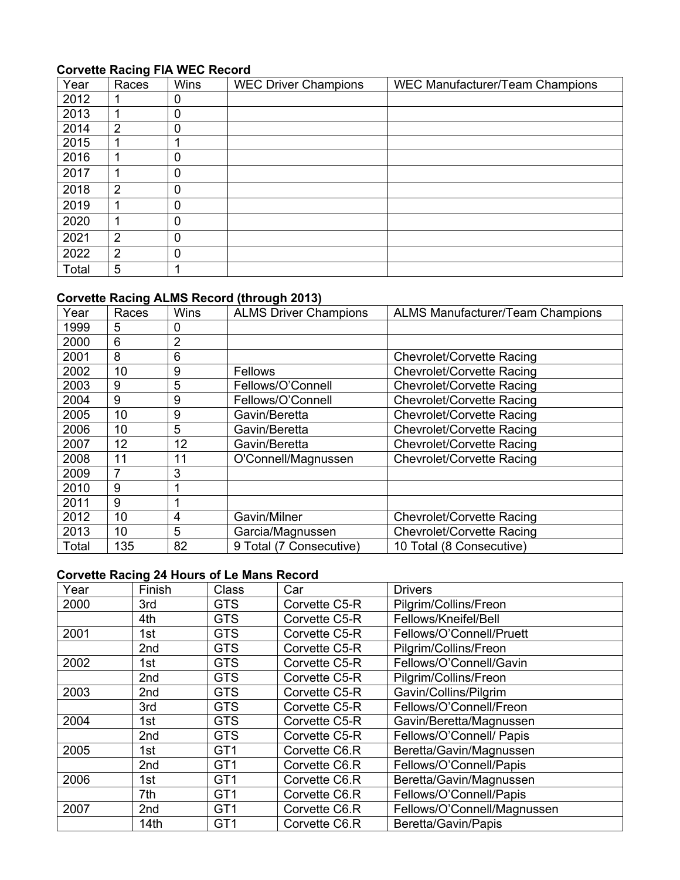### **Corvette Racing FIA WEC Record**

|       | $\tilde{\phantom{a}}$ |              |                             |                                        |
|-------|-----------------------|--------------|-----------------------------|----------------------------------------|
| Year  | Races                 | <b>Wins</b>  | <b>WEC Driver Champions</b> | <b>WEC Manufacturer/Team Champions</b> |
| 2012  |                       | 0            |                             |                                        |
| 2013  |                       | $\mathbf 0$  |                             |                                        |
| 2014  | 2                     | 0            |                             |                                        |
| 2015  |                       |              |                             |                                        |
| 2016  | 1                     | $\mathbf{0}$ |                             |                                        |
| 2017  | 1                     | 0            |                             |                                        |
| 2018  | 2                     | $\mathbf 0$  |                             |                                        |
| 2019  | 1                     | 0            |                             |                                        |
| 2020  | 1                     | 0            |                             |                                        |
| 2021  | $\overline{2}$        | $\mathbf 0$  |                             |                                        |
| 2022  | $\overline{2}$        | 0            |                             |                                        |
| Total | 5                     |              |                             |                                        |

### **Corvette Racing ALMS Record (through 2013)**

| Year  | Races | <b>Wins</b> | <b>ALMS Driver Champions</b> | <b>ALMS Manufacturer/Team Champions</b> |
|-------|-------|-------------|------------------------------|-----------------------------------------|
| 1999  | 5     | 0           |                              |                                         |
| 2000  | 6     | 2           |                              |                                         |
| 2001  | 8     | 6           |                              | <b>Chevrolet/Corvette Racing</b>        |
| 2002  | 10    | 9           | Fellows                      | <b>Chevrolet/Corvette Racing</b>        |
| 2003  | 9     | 5           | Fellows/O'Connell            | Chevrolet/Corvette Racing               |
| 2004  | 9     | 9           | Fellows/O'Connell            | Chevrolet/Corvette Racing               |
| 2005  | 10    | 9           | Gavin/Beretta                | Chevrolet/Corvette Racing               |
| 2006  | 10    | 5           | Gavin/Beretta                | Chevrolet/Corvette Racing               |
| 2007  | 12    | 12          | Gavin/Beretta                | Chevrolet/Corvette Racing               |
| 2008  | 11    | 11          | O'Connell/Magnussen          | Chevrolet/Corvette Racing               |
| 2009  | 7     | 3           |                              |                                         |
| 2010  | 9     |             |                              |                                         |
| 2011  | 9     |             |                              |                                         |
| 2012  | 10    | 4           | Gavin/Milner                 | <b>Chevrolet/Corvette Racing</b>        |
| 2013  | 10    | 5           | Garcia/Magnussen             | Chevrolet/Corvette Racing               |
| Total | 135   | 82          | 9 Total (7 Consecutive)      | 10 Total (8 Consecutive)                |

## **Corvette Racing 24 Hours of Le Mans Record**

| Year | Finish | Class           | Car           | <b>Drivers</b>              |
|------|--------|-----------------|---------------|-----------------------------|
| 2000 | 3rd    | <b>GTS</b>      | Corvette C5-R | Pilgrim/Collins/Freon       |
|      | 4th    | <b>GTS</b>      | Corvette C5-R | Fellows/Kneifel/Bell        |
| 2001 | 1st    | <b>GTS</b>      | Corvette C5-R | Fellows/O'Connell/Pruett    |
|      | 2nd    | <b>GTS</b>      | Corvette C5-R | Pilgrim/Collins/Freon       |
| 2002 | 1st    | <b>GTS</b>      | Corvette C5-R | Fellows/O'Connell/Gavin     |
|      | 2nd    | <b>GTS</b>      | Corvette C5-R | Pilgrim/Collins/Freon       |
| 2003 | 2nd    | <b>GTS</b>      | Corvette C5-R | Gavin/Collins/Pilgrim       |
|      | 3rd    | <b>GTS</b>      | Corvette C5-R | Fellows/O'Connell/Freon     |
| 2004 | 1st    | <b>GTS</b>      | Corvette C5-R | Gavin/Beretta/Magnussen     |
|      | 2nd    | <b>GTS</b>      | Corvette C5-R | Fellows/O'Connell/ Papis    |
| 2005 | 1st    | GT <sub>1</sub> | Corvette C6.R | Beretta/Gavin/Magnussen     |
|      | 2nd    | GT <sub>1</sub> | Corvette C6.R | Fellows/O'Connell/Papis     |
| 2006 | 1st    | GT <sub>1</sub> | Corvette C6.R | Beretta/Gavin/Magnussen     |
|      | 7th    | GT <sub>1</sub> | Corvette C6.R | Fellows/O'Connell/Papis     |
| 2007 | 2nd    | GT <sub>1</sub> | Corvette C6.R | Fellows/O'Connell/Magnussen |
|      | 14th   | GT <sub>1</sub> | Corvette C6.R | Beretta/Gavin/Papis         |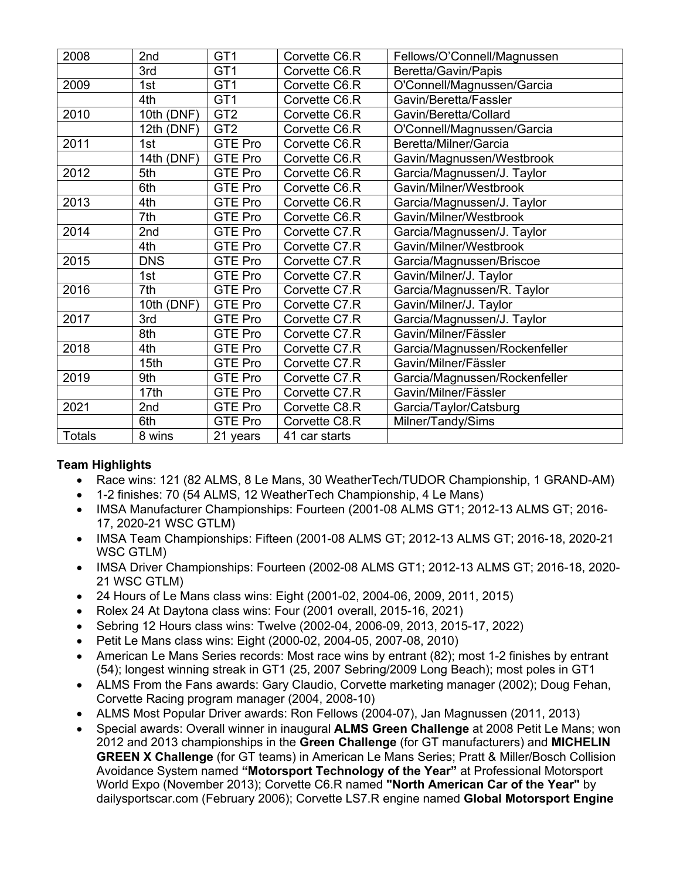| 2008          | 2nd        | GT <sub>1</sub> | Corvette C6.R | Fellows/O'Connell/Magnussen   |
|---------------|------------|-----------------|---------------|-------------------------------|
|               | 3rd        | GT <sub>1</sub> | Corvette C6.R | Beretta/Gavin/Papis           |
| 2009          | 1st        | GT <sub>1</sub> | Corvette C6.R | O'Connell/Magnussen/Garcia    |
|               | 4th        | GT <sub>1</sub> | Corvette C6.R | Gavin/Beretta/Fassler         |
| 2010          | 10th (DNF) | GT <sub>2</sub> | Corvette C6.R | Gavin/Beretta/Collard         |
|               | 12th (DNF) | GT <sub>2</sub> | Corvette C6.R | O'Connell/Magnussen/Garcia    |
| 2011          | 1st        | <b>GTE Pro</b>  | Corvette C6.R | Beretta/Milner/Garcia         |
|               | 14th (DNF) | <b>GTE Pro</b>  | Corvette C6.R | Gavin/Magnussen/Westbrook     |
| 2012          | 5th        | <b>GTE Pro</b>  | Corvette C6.R | Garcia/Magnussen/J. Taylor    |
|               | 6th        | <b>GTE Pro</b>  | Corvette C6.R | Gavin/Milner/Westbrook        |
| 2013          | 4th        | <b>GTE Pro</b>  | Corvette C6.R | Garcia/Magnussen/J. Taylor    |
|               | 7th        | <b>GTE Pro</b>  | Corvette C6.R | Gavin/Milner/Westbrook        |
| 2014          | 2nd        | <b>GTE Pro</b>  | Corvette C7.R | Garcia/Magnussen/J. Taylor    |
|               | 4th        | <b>GTE Pro</b>  | Corvette C7.R | Gavin/Milner/Westbrook        |
| 2015          | <b>DNS</b> | <b>GTE Pro</b>  | Corvette C7.R | Garcia/Magnussen/Briscoe      |
|               | 1st        | <b>GTE Pro</b>  | Corvette C7.R | Gavin/Milner/J. Taylor        |
| 2016          | 7th        | <b>GTE Pro</b>  | Corvette C7.R | Garcia/Magnussen/R. Taylor    |
|               | 10th (DNF) | <b>GTE Pro</b>  | Corvette C7.R | Gavin/Milner/J. Taylor        |
| 2017          | 3rd        | <b>GTE Pro</b>  | Corvette C7.R | Garcia/Magnussen/J. Taylor    |
|               | 8th        | <b>GTE Pro</b>  | Corvette C7.R | Gavin/Milner/Fässler          |
| 2018          | 4th        | <b>GTE Pro</b>  | Corvette C7.R | Garcia/Magnussen/Rockenfeller |
|               | 15th       | <b>GTE Pro</b>  | Corvette C7.R | Gavin/Milner/Fässler          |
| 2019          | 9th        | <b>GTE Pro</b>  | Corvette C7.R | Garcia/Magnussen/Rockenfeller |
|               | 17th       | <b>GTE Pro</b>  | Corvette C7.R | Gavin/Milner/Fässler          |
| 2021          | 2nd        | <b>GTE Pro</b>  | Corvette C8.R | Garcia/Taylor/Catsburg        |
|               | 6th        | <b>GTE Pro</b>  | Corvette C8.R | Milner/Tandy/Sims             |
| <b>Totals</b> | 8 wins     | 21 years        | 41 car starts |                               |

### **Team Highlights**

- Race wins: 121 (82 ALMS, 8 Le Mans, 30 WeatherTech/TUDOR Championship, 1 GRAND-AM)
- 1-2 finishes: 70 (54 ALMS, 12 WeatherTech Championship, 4 Le Mans)
- IMSA Manufacturer Championships: Fourteen (2001-08 ALMS GT1; 2012-13 ALMS GT; 2016-17, 2020-21 WSC GTLM)
- IMSA Team Championships: Fifteen (2001-08 ALMS GT; 2012-13 ALMS GT; 2016-18, 2020-21 WSC GTLM)
- IMSA Driver Championships: Fourteen (2002-08 ALMS GT1; 2012-13 ALMS GT; 2016-18, 2020-21 WSC GTLM)
- 24 Hours of Le Mans class wins: Eight (2001-02, 2004-06, 2009, 2011, 2015)
- Rolex 24 At Daytona class wins: Four (2001 overall, 2015-16, 2021)
- Sebring 12 Hours class wins: Twelve (2002-04, 2006-09, 2013, 2015-17, 2022)
- Petit Le Mans class wins: Eight (2000-02, 2004-05, 2007-08, 2010)
- American Le Mans Series records: Most race wins by entrant (82); most 1-2 finishes by entrant (54); longest winning streak in GT1 (25, 2007 Sebring/2009 Long Beach); most poles in GT1
- ALMS From the Fans awards: Gary Claudio, Corvette marketing manager (2002); Doug Fehan, Corvette Racing program manager (2004, 2008-10)
- ALMS Most Popular Driver awards: Ron Fellows (2004-07), Jan Magnussen (2011, 2013)
- Special awards: Overall winner in inaugural **ALMS Green Challenge** at 2008 Petit Le Mans; won 2012 and 2013 championships in the **Green Challenge** (for GT manufacturers) and **MICHELIN GREEN X Challenge** (for GT teams) in American Le Mans Series; Pratt & Miller/Bosch Collision Avoidance System named **"Motorsport Technology of the Year"** at Professional Motorsport World Expo (November 2013); Corvette C6.R named **"North American Car of the Year"** by dailysportscar.com (February 2006); Corvette LS7.R engine named **Global Motorsport Engine**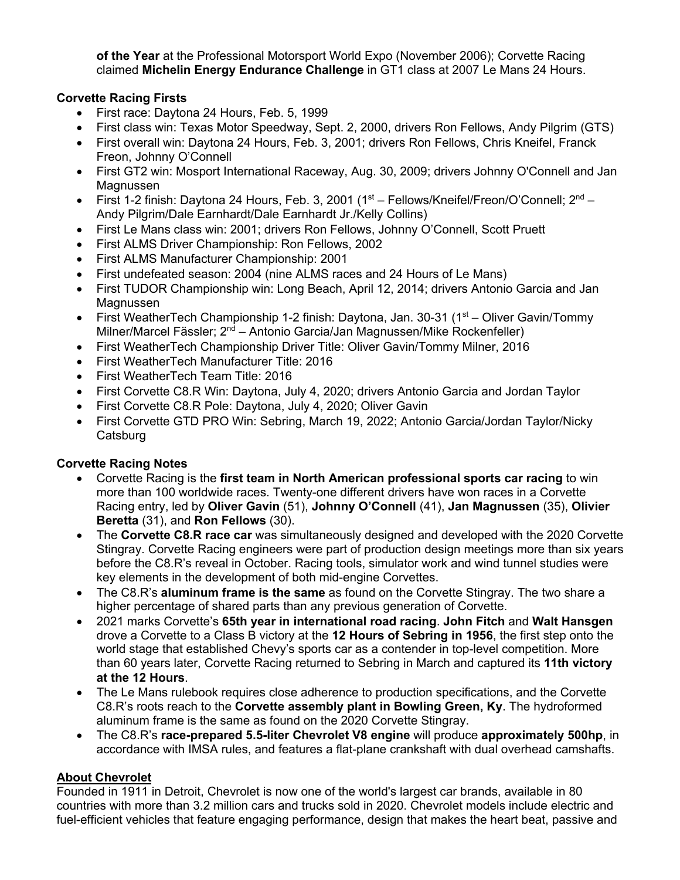**of the Year** at the Professional Motorsport World Expo (November 2006); Corvette Racing claimed **Michelin Energy Endurance Challenge** in GT1 class at 2007 Le Mans 24 Hours.

### **Corvette Racing Firsts**

- First race: Daytona 24 Hours, Feb. 5, 1999
- First class win: Texas Motor Speedway, Sept. 2, 2000, drivers Ron Fellows, Andy Pilgrim (GTS)
- First overall win: Daytona 24 Hours, Feb. 3, 2001; drivers Ron Fellows, Chris Kneifel, Franck Freon, Johnny O'Connell
- First GT2 win: Mosport International Raceway, Aug. 30, 2009; drivers Johnny O'Connell and Jan Magnussen
- First 1-2 finish: Daytona 24 Hours, Feb. 3, 2001 ( $1<sup>st</sup>$  Fellows/Kneifel/Freon/O'Connell;  $2<sup>nd</sup>$  Andy Pilgrim/Dale Earnhardt/Dale Earnhardt Jr./Kelly Collins)
- First Le Mans class win: 2001; drivers Ron Fellows, Johnny O'Connell, Scott Pruett
- First ALMS Driver Championship: Ron Fellows, 2002
- First ALMS Manufacturer Championship: 2001
- First undefeated season: 2004 (nine ALMS races and 24 Hours of Le Mans)
- First TUDOR Championship win: Long Beach, April 12, 2014; drivers Antonio Garcia and Jan Magnussen
- First WeatherTech Championship 1-2 finish: Daytona, Jan. 30-31 ( $1<sup>st</sup>$  Oliver Gavin/Tommy Milner/Marcel Fässler;  $2^{nd}$  – Antonio Garcia/Jan Magnussen/Mike Rockenfeller)
- First WeatherTech Championship Driver Title: Oliver Gavin/Tommy Milner, 2016
- First WeatherTech Manufacturer Title: 2016
- First WeatherTech Team Title: 2016
- First Corvette C8.R Win: Daytona, July 4, 2020; drivers Antonio Garcia and Jordan Taylor
- First Corvette C8.R Pole: Daytona, July 4, 2020; Oliver Gavin
- First Corvette GTD PRO Win: Sebring, March 19, 2022; Antonio Garcia/Jordan Taylor/Nicky **Catsburg**

### **Corvette Racing Notes**

- Corvette Racing is the **first team in North American professional sports car racing** to win more than 100 worldwide races. Twenty-one different drivers have won races in a Corvette Racing entry, led by **Oliver Gavin** (51), **Johnny O'Connell** (41), **Jan Magnussen** (35), **Olivier Beretta** (31), and **Ron Fellows** (30).
- The **Corvette C8.R race car** was simultaneously designed and developed with the 2020 Corvette Stingray. Corvette Racing engineers were part of production design meetings more than six years before the C8.R's reveal in October. Racing tools, simulator work and wind tunnel studies were key elements in the development of both mid-engine Corvettes.
- The C8.R's **aluminum frame is the same** as found on the Corvette Stingray. The two share a higher percentage of shared parts than any previous generation of Corvette.
- 2021 marks Corvette's **65th year in international road racing**. **John Fitch** and **Walt Hansgen** drove a Corvette to a Class B victory at the **12 Hours of Sebring in 1956**, the first step onto the world stage that established Chevy's sports car as a contender in top-level competition. More than 60 years later, Corvette Racing returned to Sebring in March and captured its **11th victory at the 12 Hours**.
- The Le Mans rulebook requires close adherence to production specifications, and the Corvette C8.R's roots reach to the **Corvette assembly plant in Bowling Green, Ky**. The hydroformed aluminum frame is the same as found on the 2020 Corvette Stingray.
- The C8.R's **race-prepared 5.5-liter Chevrolet V8 engine** will produce **approximately 500hp**, in accordance with IMSA rules, and features a flat-plane crankshaft with dual overhead camshafts.

### **About Chevrolet**

Founded in 1911 in Detroit, Chevrolet is now one of the world's largest car brands, available in 80 countries with more than 3.2 million cars and trucks sold in 2020. Chevrolet models include electric and fuel-efficient vehicles that feature engaging performance, design that makes the heart beat, passive and